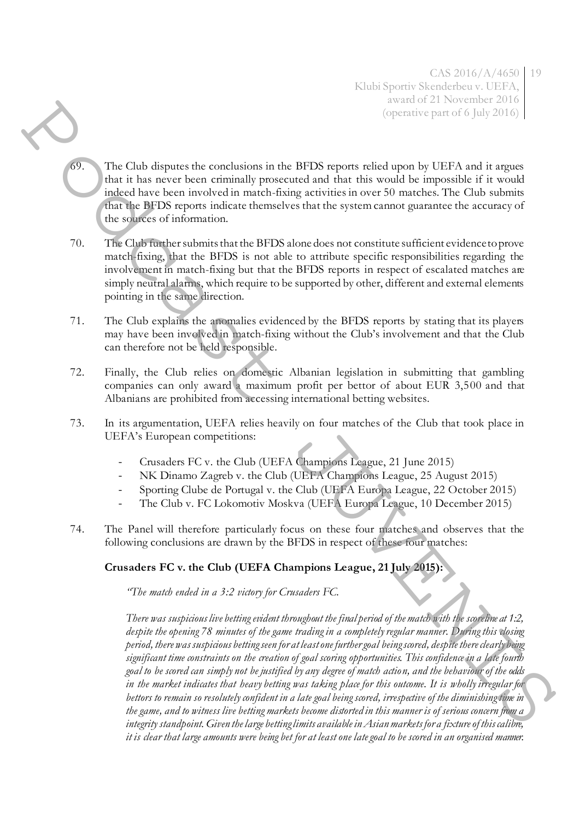- 69. The Club disputes the conclusions in the BFDS reports relied upon by UEFA and it argues that it has never been criminally prosecuted and that this would be impossible if it would indeed have been involved in match-fixing activities in over 50 matches. The Club submits that the BFDS reports indicate themselves that the system cannot guarantee the accuracy of the sources of information.
- 70. The Club further submits that the BFDS alone does not constitute sufficient evidence to prove match-fixing, that the BFDS is not able to attribute specific responsibilities regarding the involvement in match-fixing but that the BFDS reports in respect of escalated matches are simply neutral alarms, which require to be supported by other, different and external elements pointing in the same direction.
- 71. The Club explains the anomalies evidenced by the BFDS reports by stating that its players may have been involved in match-fixing without the Club's involvement and that the Club can therefore not be held responsible.
- 72. Finally, the Club relies on domestic Albanian legislation in submitting that gambling companies can only award a maximum profit per bettor of about EUR 3,500 and that Albanians are prohibited from accessing international betting websites.
- 73. In its argumentation, UEFA relies heavily on four matches of the Club that took place in UEFA's European competitions:
	- Crusaders FC v. the Club (UEFA Champions League, 21 June 2015)
	- NK Dinamo Zagreb v. the Club (UEFA Champions League, 25 August 2015)
	- Sporting Clube de Portugal v. the Club (UEFA Europa League, 22 October 2015)
	- The Club v. FC Lokomotiv Moskva (UEFA Europa League, 10 December 2015)
- 74. The Panel will therefore particularly focus on these four matches and observes that the following conclusions are drawn by the BFDS in respect of these four matches:

## **Crusaders FC v. the Club (UEFA Champions League, 21 July 2015):**

*"The match ended in a 3:2 victory for Crusaders FC.*

*There was suspicious live betting evident throughout the final period of the match with the scoreline at 1:2, despite the opening 78 minutes of the game trading in a completely regular manner. During this closing period, there was suspicious betting seen for at least one further goal being scored, despite there clearly being significant time constraints on the creation of goal scoring opportunities. This confidence in a late fourth goal to be scored can simply not be justified by any degree of match action, and the behaviour of the odds in the market indicates that heavy betting was taking place for this outcome. It is wholly irregular for bettors to remain so resolutely confident in a late goal being scored, irrespective of the diminishing time in the game, and to witness live betting markets become distorted in this manner is of serious concern from a integrity standpoint. Given the large betting limits available in Asian markets for a fixture of this calibre, it is clear that large amounts were being bet for at least one late goal to be scored in an organised manner.*  23. The Clark disperse the continuity in the BT18 reports which there is not also also the class and beat trained in the BT18 reports which the BT18 reports and the space of a space of a space of a space of a space of a s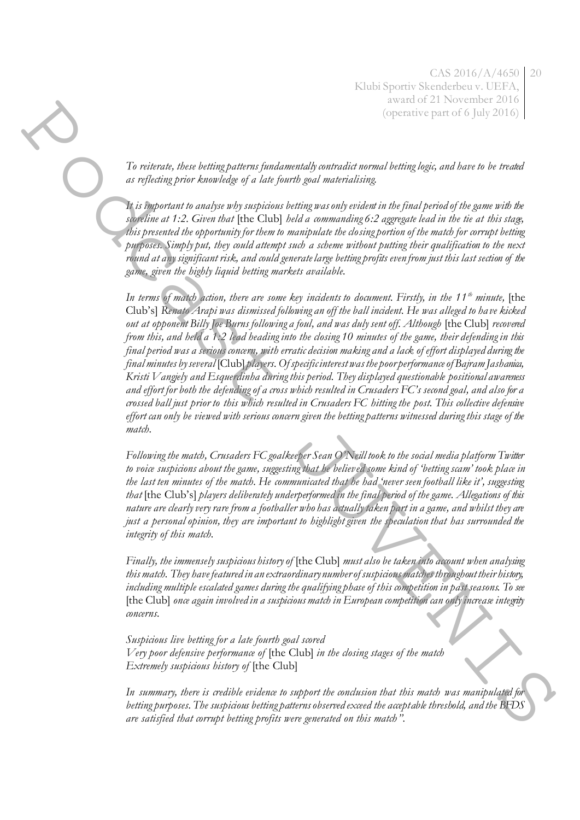*To reiterate, these betting patterns fundamentally contradict normal betting logic, and have to be treated as reflecting prior knowledge of a late fourth goal materialising.* 

*It is important to analyse why suspicious betting was only evident in the final period of the game with the scoreline at 1:2. Given that* [the Club] *held a commanding 6:2 aggregate lead in the tie at this stage, this presented the opportunity for them to manipulate the closing portion of the match for corrupt betting purposes. Simply put, they could attempt such a scheme without putting their qualification to the next round at any significant risk, and could generate large betting profits even from just this last section of the game, given the highly liquid betting markets available.* 

*In terms of match action, there are some key incidents to document. Firstly, in the 11th minute,* [the Club's] *Renato Arapi was dismissed following an off the ball incident. He was alleged to have kicked out at opponent Billy Joe Burns following a foul, and was duly sent off. Although* [the Club] *recovered from this, and held a 1:2 lead heading into the closing 10 minutes of the game, their defending in this final period was a serious concern, with erratic decision making and a lack of effort displayed during the final minutes by several* [Club] *players. Of specific interest was the poor performance of Bajram Jashanica, Kristi Vangjely and Esquerdinha during this period. They displayed questionable positional awareness and effort for both the defending of a cross which resulted in Crusaders FC's second goal, and also for a crossed ball just prior to this which resulted in Crusaders FC hitting the post. This collective defensive effort can only be viewed with serious concern given the betting patterns witnessed during this stage of the match.*  The minimals then besting patterns fundamentally contradict the simple points in order to the simple point of the control of the simple point of the simple point of the control of the simple point of the control of the si

*Following the match, Crusaders FC goalkeeper Sean O'Neill took to the social media platform Twitter to voice suspicions about the game, suggesting that he believed some kind of 'betting scam' took place in the last ten minutes of the match. He communicated that he had 'never seen football like it', suggesting that* [the Club's] *players deliberately underperformed in the final period of the game. Allegations of this nature are clearly very rare from a footballer who has actually taken part in a game, and whilst they are just a personal opinion, they are important to highlight given the speculation that has surrounded the integrity of this match.* 

*Finally, the immensely suspicious history of* [the Club] *must also be taken into account when analysing this match. They have featured in an extraordinary number of suspicious matches throughout their history, including multiple escalated games during the qualifying phase of this competition in past seasons. To see*  [the Club] *once again involved in a suspicious match in European competition can only increase integrity concerns.* 

*Suspicious live betting for a late fourth goal scored Very poor defensive performance of* [the Club] *in the closing stages of the match Extremely suspicious history of* [the Club]

*In summary, there is credible evidence to support the conclusion that this match was manipulated for betting purposes. The suspicious betting patterns observed exceed the acceptable threshold, and the BFDS are satisfied that corrupt betting profits were generated on this match".*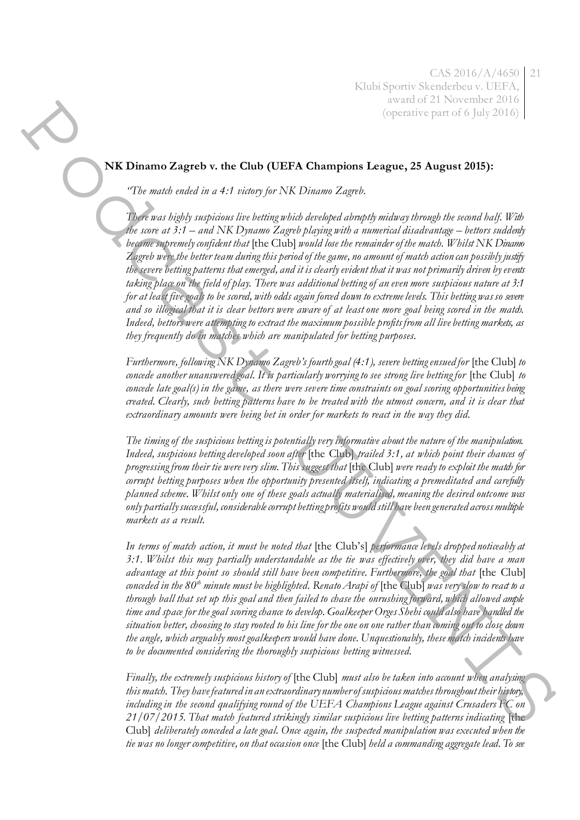## **NK Dinamo Zagreb v. the Club (UEFA Champions League, 25 August 2015):**

*"The match ended in a 4:1 victory for NK Dinamo Zagreb.*

*There was highly suspicious live betting which developed abruptly midway through the second half. With the score at 3:1 – and NK Dynamo Zagreb playing with a numerical disadvantage – bettors suddenly became supremely confident that* [the Club] *would lose the remainder of the match. Whilst NK Dinamo Zagreb were the better team during this period of the game, no amount of match action can possibly justify the severe betting patterns that emerged, and it is clearly evident that it was not primarily driven by events taking place on the field of play. There was additional betting of an even more suspicious nature at 3:1 for at least five goals to be scored, with odds again forced down to extreme levels. This betting was so severe and so illogical that it is clear bettors were aware of at least one more goal being scored in the match. Indeed, bettors were attempting to extract the maximum possible profits from all live betting markets, as they frequently do in matches which are manipulated for betting purposes.*  **EXERCT Systems** of the Club (UEFA Champings Leagues, 25 August 2015):<br>
The main and in a 4-1 norm for NK Champing Leagues, 25 August 2015):<br>
The main and in a 4-1 norm for NK Champing Leagues, 25 August 2015):<br>
The main

*Furthermore, following NK Dynamo Zagreb's fourth goal (4:1), severe betting ensued for* [the Club] to *concede another unanswered goal. It is particularly worrying to see strong live betting for* [the Club] to *concede late goal(s) in the game, as there were severe time constraints on goal scoring opportunities being created. Clearly, such betting patterns have to be treated with the utmost concern, and it is clear that extraordinary amounts were being bet in order for markets to react in the way they did.* 

*The timing of the suspicious betting is potentially very informative about the nature of the manipulation. Indeed, suspicious betting developed soon after* [the Club] *trailed 3:1, at which point their chances of progressing from their tie were very slim. This suggest that* [the Club] *were ready to exploit the match for corrupt betting purposes when the opportunity presented itself, indicating a premeditated and carefully planned scheme. Whilst only one of these goals actually materialised, meaning the desired outcome was only partially successful, considerable corrupt betting profits would still have been generated across multiple markets as a result.* 

*In terms of match action, it must be noted that* [the Club's] *performance levels dropped noticeably at 3:1. Whilst this may partially understandable as the tie was effectively over, they did have a man*  advantage at this point so should still have been competitive. Furthermore, the goal that [the Club] *conceded in the 80th minute must be highlighted. Renato Arapi of* [the Club] *was very slow to react to a through ball that set up this goal and then failed to chase the onrushing forward, which allowed ample time and space for the goal scoring chance to develop. Goalkeeper Orges Shehi could also have handled the situation better, choosing to stay rooted to his line for the one on one rather than coming out to close down the angle, which arguably most goalkeepers would have done. Unquestionably, these match incidents have to be documented considering the thoroughly suspicious betting witnessed.* 

*Finally, the extremely suspicious history of* [the Club] *must also be taken into account when analysing this match. They have featured in an extraordinary number of suspicious matches throughout their history, including in the second qualifying round of the UEFA Champions League against Crusaders FC on 21/07/2015. That match featured strikingly similar suspicious live betting patterns indicating* [the Club] *deliberately conceded a late goal. Once again, the suspected manipulation was executed when the tie was no longer competitive, on that occasion once* [the Club] *held a commanding aggregate lead. To see*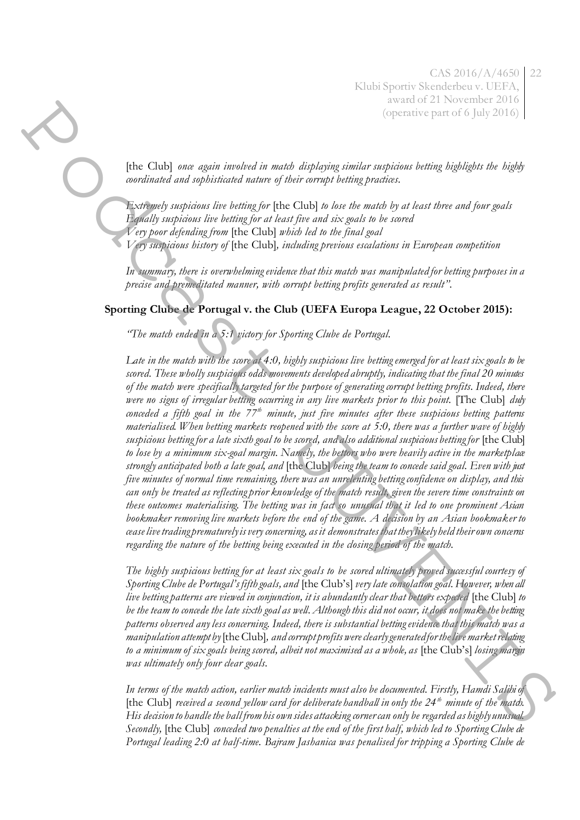[the Club] *once again involved in match displaying similar suspicious betting highlights the highly coordinated and sophisticated nature of their corrupt betting practices.* 

*Extremely suspicious live betting for* [the Club] *to lose the match by at least three and four goals Equally suspicious live betting for at least five and six goals to be scored Very poor defending from* [the Club] *which led to the final goal* 

*Very suspicious history of* [the Club]*, including previous escalations in European competition* 

*In summary, there is overwhelming evidence that this match was manipulated for betting purposes in a precise and premeditated manner, with corrupt betting profits generated as result".*

## **Sporting Clube de Portugal v. the Club (UEFA Europa League, 22 October 2015):**

*"The match ended in a 5:1 victory for Sporting Clube de Portugal.*

*Late in the match with the score at 4:0, highly suspicious live betting emerged for at least six goals to be scored. These wholly suspicious odds movements developed abruptly, indicating that the final 20 minutes of the match were specifically targeted for the purpose of generating corrupt betting profits. Indeed, there were no signs of irregular betting occurring in any live markets prior to this point.* [The Club] *duly conceded a fifth goal in the 77th minute, just five minutes after these suspicious betting patterns materialised. When betting markets reopened with the score at 5:0, there was a further wave of highly*  suspicious betting for a late sixth goal to be scored, and also additional suspicious betting for [the Club] *to lose by a minimum six-goal margin. Namely, the bettors who were heavily active in the marketplace strongly anticipated both a late goal, and* [the Club] *being the team to concede said goal. Even with just five minutes of normal time remaining, there was an unrelenting betting confidence on display, and this can only be treated as reflecting prior knowledge of the match result, given the severe time constraints on these outcomes materialising. The betting was in fact so unusual that it led to one prominent Asian bookmaker removing live markets before the end of the game. A decision by an Asian bookmaker to cease live trading prematurely is very concerning, as it demonstrates that they likely held their own concerns regarding the nature of the betting being executed in the closing period of the match.*  The Child are again survived in mode displaying similar supremain forces as  $\frac{1}{2}$  that the Child between the child are also that the child between the child between the child between the child between the child betwee

*The highly suspicious betting for at least six goals to be scored ultimately proved successful courtesy of Sporting Clube de Portugal's fifth goals, and* [the Club's] *very late consolation goal. However, when all live betting patterns are viewed in conjunction, it is abundantly clear that bettors expected* [the Club] *to be the team to concede the late sixth goal as well. Although this did not occur, it does not make the betting patterns observed any less concerning. Indeed, there is substantial betting evidence that this match was a manipulation attempt by* [the Club]*, and corrupt profits were clearly generated for the live market relating to a minimum of six goals being scored, albeit not maximised as a whole, as* [the Club's] *losing margin was ultimately only four clear goals.* 

*In terms of the match action, earlier match incidents must also be documented. Firstly, Hamdi Salihi of*  [the Club] *received a second yellow card for deliberate handball in only the 24th minute of the match. His decision to handle the ball from his own sides attacking corner can only be regarded as highly unusual. Secondly,* [the Club] *conceded two penalties at the end of the first half, which led to Sporting Clube de Portugal leading 2:0 at half-time. Bajram Jashanica was penalised for tripping a Sporting Clube de*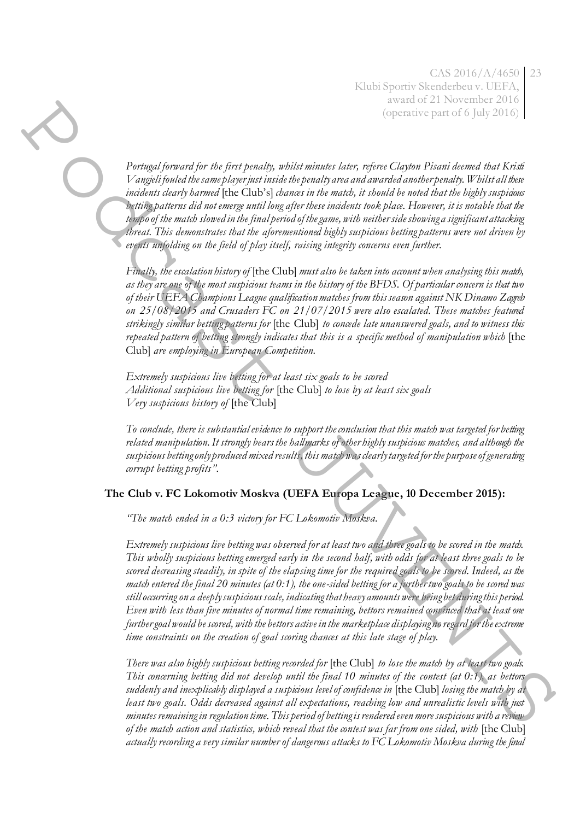*Portugal forward for the first penalty, whilst minutes later, referee Clayton Pisani deemed that Kristi Vangjeli fouled the same player just inside the penalty area and awarded another penalty. Whilst all these incidents clearly harmed* [the Club's] *chances in the match, it should be noted that the highly suspicious betting patterns did not emerge until long after these incidents took place. However, it is notable that the tempo of the match slowed in the final period of the game, with neither side showing a significant attacking threat. This demonstrates that the aforementioned highly suspicious betting patterns were not driven by events unfolding on the field of play itself, raising integrity concerns even further.* 

*Finally, the escalation history of* [the Club] *must also be taken into account when analysing this match, as they are one of the most suspicious teams in the history of the BFDS. Of particular concern is that two of their UEFA Champions League qualification matches from this season against NK Dinamo Zagreb on 25/08/2015 and Crusaders FC on 21/07/2015 were also escalated. These matches featured strikingly similar betting patterns for* [the Club] *to concede late unanswered goals, and to witness this*  repeated pattern of betting strongly indicates that this is a specific method of manipulation which [the Club] *are employing in European Competition.* 

*Extremely suspicious live betting for at least six goals to be scored Additional suspicious live betting for* [the Club] *to lose by at least six goals Very suspicious history of* [the Club]

*To conclude, there is substantial evidence to support the conclusion that this match was targeted for betting related manipulation. It strongly bears the hallmarks of other highly suspicious matches, and although the suspicious betting only produced mixed results, this match was clearly targeted for the purpose of generating corrupt betting profits".*

## **The Club v. FC Lokomotiv Moskva (UEFA Europa League, 10 December 2015):**

*"The match ended in a 0:3 victory for FC Lokomotiv Moskva.*

*Extremely suspicious live betting was observed for at least two and three goals to be scored in the match. This wholly suspicious betting emerged early in the second half, with odds for at least three goals to be scored decreasing steadily, in spite of the elapsing time for the required goals to be scored. Indeed, as the match entered the final 20 minutes (at 0:1), the one-sided betting for a further two goals to be scored was still occurring on a deeply suspicious scale, indicating that heavy amounts were being bet during this period. Even with less than five minutes of normal time remaining, bettors remained convinced that at least one further goal would be scored, with the bettors active in the marketplace displaying no regard for the extreme time constraints on the creation of goal scoring chances at this late stage of play.*   $\label{eq:2} The first example is the general, the first package is related to the most of the second class. The second code is used to be a different, and the second class is used to be a different, and the second class is used to be a different, and the second class is used to be a different, and the second class is used to be a different, and the second class is used to be a different, and the second class is used to be a different, and the second class is used to be a different, and the second class is used to be a different, and the second class is used to be a different, and the second class is used to be a different, and the second class is used to be a different, and the second class is used to be a different, and the second class is used to be a different, and the second class is used to be a different, and the second class is used to be a different, and the second class is used to be a different, and the second class is used to$ 

*There was also highly suspicious betting recorded for* [the Club] *to lose the match by at least two goals. This concerning betting did not develop until the final 10 minutes of the contest (at 0:1), as bettors suddenly and inexplicably displayed a suspicious level of confidence in* [the Club] *losing the match by at least two goals. Odds decreased against all expectations, reaching low and unrealistic levels with just minutes remaining in regulation time. This period of betting is rendered even more suspicious with a review of the match action and statistics, which reveal that the contest was far from one sided, with* [the Club] *actually recording a very similar number of dangerous attacks to FC Lokomotiv Moskva during the final*